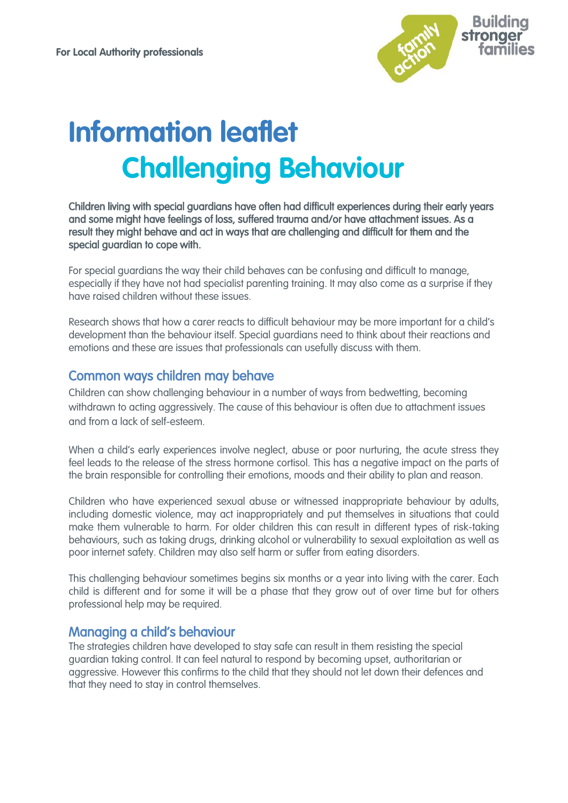

# **Information leaflet Challenging Behaviour**

Children living with special guardians have often had difficult experiences during their early years and some might have feelings of loss, suffered trauma and/or have [attachment](http://www.specialguardiansupport.org.uk/managing-attachment-issues/) issues. As a result they might behave and act in ways that are challenging and difficult for them and the special guardian to cope with.

For special guardians the way their child behaves can be confusing and difficult to manage, especially if they have not had specialist parenting training. It may also come as a surprise if they have raised children without these issues.

Research shows that how a carer reacts to difficult behaviour may be more important for a child's development than the behaviour itself. Special guardians need to think about their reactions and emotions and these are issues that professionals can usefully discuss with them.

#### Common ways children may behave

Children can show challenging behaviour in a number of ways from bedwetting, becoming withdrawn to acting aggressively. The cause of this behaviour is often due to attachment issues and from a lack of self-esteem.

When a child's early experiences involve nealect, abuse or poor nurturing, the acute stress they feel leads to the release of the stress hormone cortisol. This has a negative impact on the parts of the brain responsible for controlling their emotions, moods and their ability to plan and reason.

Children who have experienced sexual abuse or witnessed inappropriate behaviour by adults, including [domestic violence,](http://www.specialguardiansupport.org.uk/managing-impact-domestic-violence/) may act inappropriately and put themselves in situations that could make them vulnerable to harm. For older children this can result in different types of risk-taking behaviours, such as taking drugs, drinking alcohol or vulnerability to sexual exploitation as well as poor internet safety. Children may also self harm or suffer from eating disorders.

This challenging behaviour sometimes begins six months or a year into living with the carer. Each child is different and for some it will be a phase that they grow out of over time but for others professional help may be required.

#### Managing a child's behaviour

The strategies children have developed to stay safe can result in them resisting the special guardian taking control. It can feel natural to respond by becoming upset, authoritarian or aggressive. However this confirms to the child that they should not let down their defences and that they need to stay in control themselves.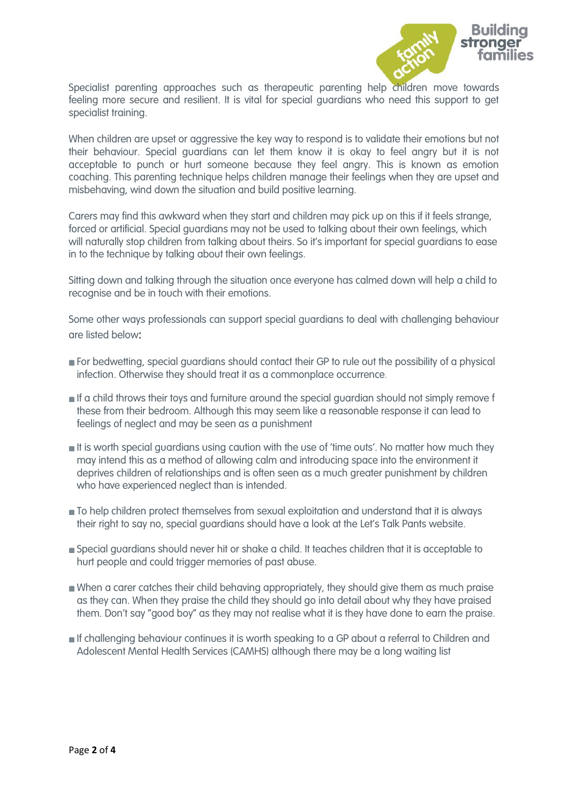

Specialist parenting approaches such as therapeutic parenting help children move towards feeling more secure and resilient. It is vital for special guardians who need this support to get specialist training.

When children are upset or aggressive the key way to respond is to validate their emotions but not their behaviour. Special guardians can let them know it is okay to feel angry but it is not acceptable to punch or hurt someone because they feel angry. This is known as emotion coaching. This parenting technique helps children manage their feelings when they are upset and misbehaving, wind down the situation and build positive learning.

Carers may find this awkward when they start and children may pick up on this if it feels strange, forced or artificial. Special guardians may not be used to talking about their own feelings, which will naturally stop children from talking about theirs. So it's important for special guardians to ease in to the technique by talking about their own feelings.

Sitting down and talking through the situation once everyone has calmed down will help a child to recognise and be in touch with their emotions.

Some other ways professionals can support special guardians to deal with challenging behaviour are listed below:

- **For bedwetting, special guardians should contact their GP to rule out the possibility of a physical** infection. Otherwise they should treat it as a commonplace occurrence.
- If a child throws their toys and furniture around the special guardian should not simply remove f these from their bedroom. Although this may seem like a reasonable response it can lead to feelings of neglect and may be seen as a punishment
- **It is worth special guardians using caution with the use of 'time outs'. No matter how much they** may intend this as a method of allowing calm and introducing space into the environment it deprives children of relationships and is often seen as a much greater punishment by children who have experienced neglect than is intended.
- $\blacksquare$  To help children protect themselves from sexual exploitation and understand that it is always their right to say no, special guardians should have a look at the [Let's Talk Pants website](https://www.nspcc.org.uk/preventing-abuse/keeping-children-safe/underwear-rule/).
- Special guardians should never hit or shake a child. It teaches children that it is acceptable to hurt people and could trigger memories of past abuse.
- When a carer catches their child behaving appropriately, they should give them as much praise as they can. When they praise the child they should go into detail about why they have praised them. Don't say "good boy" as they may not realise what it is they have done to earn the praise.
- If challenging behaviour continues it is worth speaking to a GP about a referral to Children and Adolescent Mental Health Services (CAMHS) although there may be a long waiting list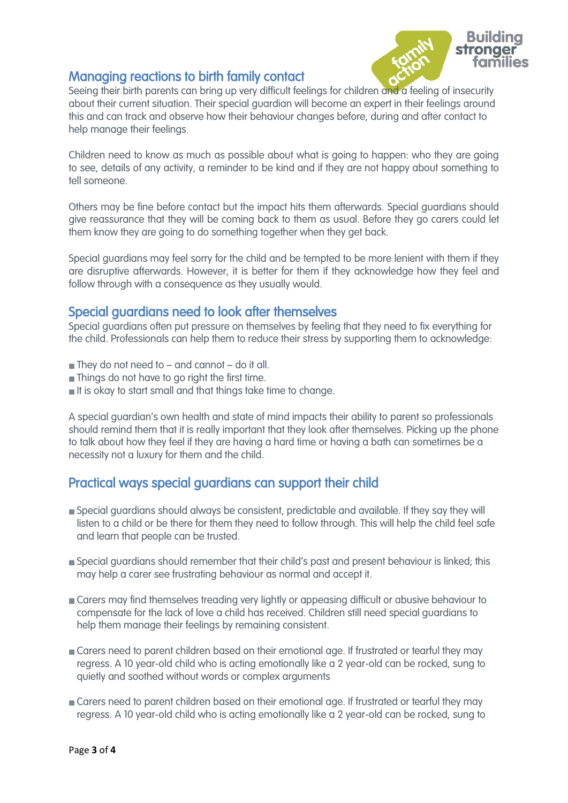

## [Managing reactions to birth family contact](http://www.specialguardiansupport.org.uk/managing-challenging-behaviour/#title_3)

Seeing their birth parents can bring up very difficult feelings for children and a feeling of insecurity about their current situation. Their special guardian will become an expert in their feelings around this and can track and observe how their behaviour changes before, during and after contact to help manage their feelings.

Children need to know as much as possible about what is going to happen: who they are going to see, details of any activity, a reminder to be kind and if they are not happy about something to tell someone.

Others may be fine before contact but the impact hits them afterwards. Special guardians should give reassurance that they will be coming back to them as usual. Before they go carers could let them know they are going to do something together when they get back.

Special guardians may feel sorry for the child and be tempted to be more lenient with them if they are disruptive afterwards. However, it is better for them if they acknowledge how they feel and follow through with a consequence as they usually would.

### Special guardians need to look after themselves

Special guardians often put pressure on themselves by feeling that they need to fix everything for the child. Professionals can help them to reduce their stress by supporting them to acknowledge:

- $\blacksquare$  They do not need to and cannot do it all.
- **n** Things do not have to go right the first time.
- It is okay to start small and that things take time to change.

A special guardian's own health and state of mind impacts their ability to parent so professionals should remind them that it is really important that they look after themselves. Picking up the phone to talk about how they feel if they are having a hard time or having a bath can sometimes be a necessity not a luxury for them and the child.

## [Practical ways special guardians can support their child](http://www.specialguardiansupport.org.uk/managing-challenging-behaviour/#title_5)

- Special guardians should always be consistent, predictable and available. If they say they will listen to a child or be there for them they need to follow through. This will help the child feel safe and learn that people can be trusted.
- Special guardians should remember that their child's past and present behaviour is linked; this may help a carer see frustrating behaviour as normal and accept it.
- Carers may find themselves treading very lightly or appeasing difficult or abusive behaviour to compensate for the lack of love a child has received. Children still need special guardians to help them manage their feelings by remaining consistent.
- Carers need to parent children based on their emotional age. If frustrated or tearful they may regress. A 10 year-old child who is acting emotionally like a 2 year-old can be rocked, sung to quietly and soothed without words or complex arguments
- **Carers need to parent children based on their emotional age. If frustrated or tearful they may** regress. A 10 year-old child who is acting emotionally like a 2 year-old can be rocked, sung to